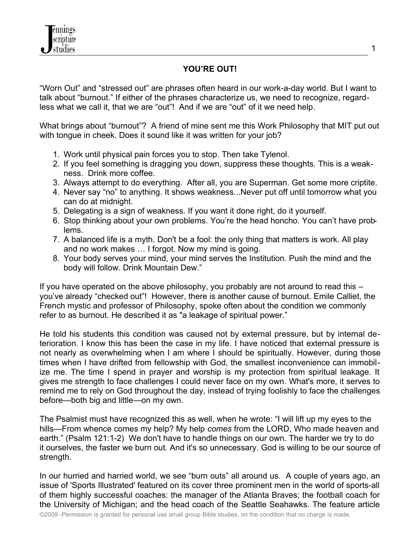## **YOU'RE OUT!**

"Worn Out" and "stressed out" are phrases often heard in our work-a-day world. But I want to talk about "burnout." If either of the phrases characterize us, we need to recognize, regardless what we call it, that we are "out"! And if we are "out" of it we need help.

What brings about "burnout"? A friend of mine sent me this Work Philosophy that MIT put out with tongue in cheek. Does it sound like it was written for your job?

- 1. Work until physical pain forces you to stop. Then take Tylenol.
- 2. If you feel something is dragging you down, suppress these thoughts. This is a weakness. Drink more coffee.
- 3. Always attempt to do everything. After all, you are Superman. Get some more criptite.
- 4. Never say "no" to anything. It shows weakness...Never put off until tomorrow what you can do at midnight.
- 5. Delegating is a sign of weakness. If you want it done right, do it yourself.
- 6. Stop thinking about your own problems. You're the head honcho. You can't have problems.
- 7. A balanced life is a myth. Don't be a fool: the only thing that matters is work. All play and no work makes … I forgot. Now my mind is going.
- 8. Your body serves your mind, your mind serves the Institution. Push the mind and the body will follow. Drink Mountain Dew."

If you have operated on the above philosophy, you probably are not around to read this – you've already "checked out"! However, there is another cause of burnout. Emile Calliet, the French mystic and professor of Philosophy, spoke often about the condition we commonly refer to as burnout. He described it as "a leakage of spiritual power."

He told his students this condition was caused not by external pressure, but by internal deterioration. I know this has been the case in my life. I have noticed that external pressure is not nearly as overwhelming when I am where I should be spiritually. However, during those times when I have drifted from fellowship with God, the smallest inconvenience can immobilize me. The time I spend in prayer and worship is my protection from spiritual leakage. It gives me strength to face challenges I could never face on my own. What's more, it serves to remind me to rely on God throughout the day, instead of trying foolishly to face the challenges before—both big and little—on my own.

The Psalmist must have recognized this as well, when he wrote: "I will lift up my eyes to the hills—From whence comes my help? My help *comes* from the LORD, Who made heaven and earth." (Psalm 121:1-2) We don't have to handle things on our own. The harder we try to do it ourselves, the faster we burn out. And it's so unnecessary. God is willing to be our source of strength.

In our hurried and harried world, we see "burn outs" all around us. A couple of years ago, an issue of 'Sports Illustrated' featured on its cover three prominent men in the world of sports-all of them highly successful coaches: the manager of the Atlanta Braves; the football coach for the University of Michigan; and the head coach of the Seattle Seahawks. The feature article